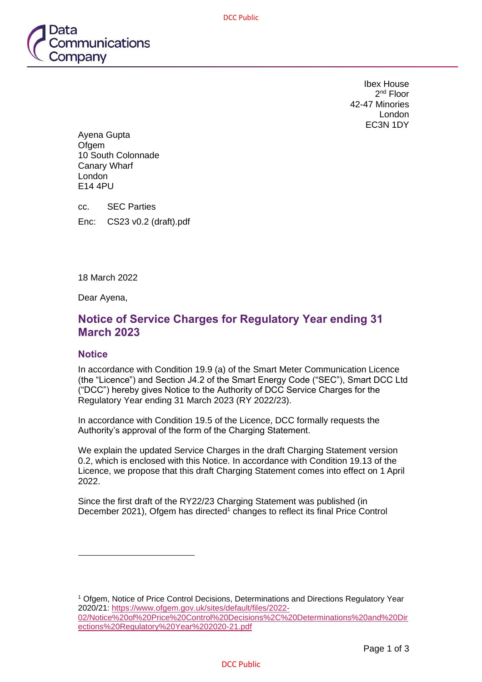DCC Public



Ibex House 2<sup>nd</sup> Floor 42-47 Minories London EC3N 1DY

Ayena Gupta **Ofgem** 10 South Colonnade Canary Wharf London E14 4PU

cc. SEC Parties Enc: CS23 v0.2 (draft).pdf

18 March 2022

Dear Ayena,

## **Notice of Service Charges for Regulatory Year ending 31 March 2023**

### **Notice**

In accordance with Condition 19.9 (a) of the Smart Meter Communication Licence (the "Licence") and Section J4.2 of the Smart Energy Code ("SEC"), Smart DCC Ltd ("DCC") hereby gives Notice to the Authority of DCC Service Charges for the Regulatory Year ending 31 March 2023 (RY 2022/23).

In accordance with Condition 19.5 of the Licence, DCC formally requests the Authority's approval of the form of the Charging Statement.

We explain the updated Service Charges in the draft Charging Statement version 0.2, which is enclosed with this Notice. In accordance with Condition 19.13 of the Licence, we propose that this draft Charging Statement comes into effect on 1 April 2022.

Since the first draft of the RY22/23 Charging Statement was published (in December 2021), Ofgem has directed<sup>1</sup> changes to reflect its final Price Control

<sup>1</sup> Ofgem, Notice of Price Control Decisions, Determinations and Directions Regulatory Year 2020/21: [https://www.ofgem.gov.uk/sites/default/files/2022-](https://www.ofgem.gov.uk/sites/default/files/2022-02/Notice%20of%20Price%20Control%20Decisions%2C%20Determinations%20and%20Directions%20Regulatory%20Year%202020-21.pdf) [02/Notice%20of%20Price%20Control%20Decisions%2C%20Determinations%20and%20Dir](https://www.ofgem.gov.uk/sites/default/files/2022-02/Notice%20of%20Price%20Control%20Decisions%2C%20Determinations%20and%20Directions%20Regulatory%20Year%202020-21.pdf) [ections%20Regulatory%20Year%202020-21.pdf](https://www.ofgem.gov.uk/sites/default/files/2022-02/Notice%20of%20Price%20Control%20Decisions%2C%20Determinations%20and%20Directions%20Regulatory%20Year%202020-21.pdf)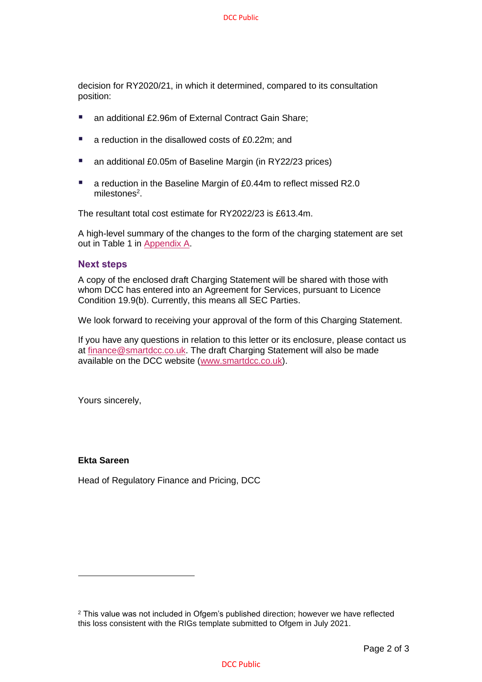decision for RY2020/21, in which it determined, compared to its consultation position:

- an additional £2.96m of External Contract Gain Share;
- a reduction in the disallowed costs of £0.22m; and
- an additional £0.05m of Baseline Margin (in RY22/23 prices)
- a reduction in the Baseline Margin of £0.44m to reflect missed R2.0 milestones<sup>2</sup>.

The resultant total cost estimate for RY2022/23 is £613.4m.

A high-level summary of the changes to the form of the charging statement are set out in Table 1 in [Appendix A.](#page-2-0)

#### **Next steps**

A copy of the enclosed draft Charging Statement will be shared with those with whom DCC has entered into an Agreement for Services, pursuant to Licence Condition 19.9(b). Currently, this means all SEC Parties.

We look forward to receiving your approval of the form of this Charging Statement.

If you have any questions in relation to this letter or its enclosure, please contact us at [finance@smartdcc.co.uk.](mailto:finance@smartdcc.co.uk) The draft Charging Statement will also be made available on the DCC website [\(www.smartdcc.co.uk\)](http://www.smartdcc.co.uk/).

Yours sincerely,

#### **Ekta Sareen**

Head of Regulatory Finance and Pricing, DCC

#### DCC Public

<sup>&</sup>lt;sup>2</sup> This value was not included in Ofgem's published direction; however we have reflected this loss consistent with the RIGs template submitted to Ofgem in July 2021.